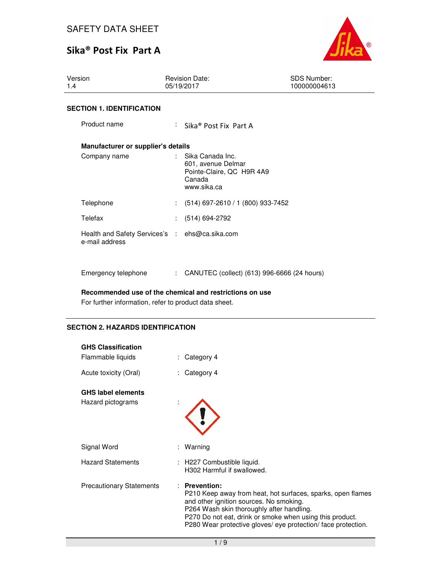# Sika® Post Fix Part A



| Version<br>1.4                                                   |  | <b>Revision Date:</b><br>05/19/2017                                                            | <b>SDS Number:</b><br>100000004613 |  |
|------------------------------------------------------------------|--|------------------------------------------------------------------------------------------------|------------------------------------|--|
| <b>SECTION 1. IDENTIFICATION</b>                                 |  |                                                                                                |                                    |  |
| Product name                                                     |  | : Sika <sup>®</sup> Post Fix Part A                                                            |                                    |  |
| Manufacturer or supplier's details                               |  |                                                                                                |                                    |  |
| Company name                                                     |  | : Sika Canada Inc.<br>601, avenue Delmar<br>Pointe-Claire, QC H9R 4A9<br>Canada<br>www.sika.ca |                                    |  |
| Telephone                                                        |  | $(514)$ 697-2610 / 1 (800) 933-7452                                                            |                                    |  |
| Telefax                                                          |  | $(514)$ 694-2792                                                                               |                                    |  |
| Health and Safety Services's : ehs@ca.sika.com<br>e-mail address |  |                                                                                                |                                    |  |
| Emergency telephone                                              |  | CANUTEC (collect) (613) 996-6666 (24 hours)                                                    |                                    |  |

**Recommended use of the chemical and restrictions on use** 

For further information, refer to product data sheet.

# **SECTION 2. HAZARDS IDENTIFICATION**

| <b>GHS Classification</b>       |                                                                                                                                                                                                                                                                                                  |
|---------------------------------|--------------------------------------------------------------------------------------------------------------------------------------------------------------------------------------------------------------------------------------------------------------------------------------------------|
| Flammable liquids               | Category 4                                                                                                                                                                                                                                                                                       |
| Acute toxicity (Oral)           | Category 4                                                                                                                                                                                                                                                                                       |
| <b>GHS label elements</b>       |                                                                                                                                                                                                                                                                                                  |
| Hazard pictograms               |                                                                                                                                                                                                                                                                                                  |
| Signal Word                     | Warning                                                                                                                                                                                                                                                                                          |
| <b>Hazard Statements</b>        | : H227 Combustible liquid.<br>H302 Harmful if swallowed.                                                                                                                                                                                                                                         |
| <b>Precautionary Statements</b> | : Prevention:<br>P210 Keep away from heat, hot surfaces, sparks, open flames<br>and other ignition sources. No smoking.<br>P264 Wash skin thoroughly after handling.<br>P270 Do not eat, drink or smoke when using this product.<br>P280 Wear protective gloves/ eye protection/face protection. |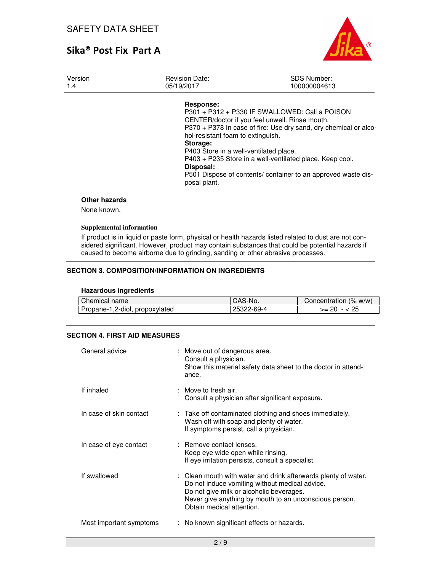

| Version<br>1.4 | <b>Revision Date:</b><br>05/19/2017 | <b>SDS Number:</b><br>100000004613                               |
|----------------|-------------------------------------|------------------------------------------------------------------|
|                | Response:                           |                                                                  |
|                |                                     | P301 + P312 + P330 IF SWALLOWED: Call a POISON                   |
|                |                                     | CENTER/doctor if you feel unwell. Rinse mouth.                   |
|                |                                     | P370 + P378 In case of fire: Use dry sand, dry chemical or alco- |
|                | hol-resistant foam to extinguish.   |                                                                  |
|                | Storage:                            |                                                                  |

P403 Store in a well-ventilated place.

P403 + P235 Store in a well-ventilated place. Keep cool. **Disposal:** 

P501 Dispose of contents/ container to an approved waste disposal plant.

#### **Other hazards**

None known.

#### **Supplemental information**

If product is in liquid or paste form, physical or health hazards listed related to dust are not considered significant. However, product may contain substances that could be potential hazards if caused to become airborne due to grinding, sanding or other abrasive processes.

### **SECTION 3. COMPOSITION/INFORMATION ON INGREDIENTS**

#### **Hazardous ingredients**

| Chemical name                  | I CAS-No.  | Concentration (% w/w) |
|--------------------------------|------------|-----------------------|
| Propane-1,2-diol, propoxylated | 25322-69-4 | >= 20                 |

#### **SECTION 4. FIRST AID MEASURES**

| General advice          | : Move out of dangerous area.<br>Consult a physician.<br>Show this material safety data sheet to the doctor in attend-<br>ance.                                                                                                                     |
|-------------------------|-----------------------------------------------------------------------------------------------------------------------------------------------------------------------------------------------------------------------------------------------------|
| If inhaled              | $\therefore$ Move to fresh air.<br>Consult a physician after significant exposure.                                                                                                                                                                  |
| In case of skin contact | : Take off contaminated clothing and shoes immediately.<br>Wash off with soap and plenty of water.<br>If symptoms persist, call a physician.                                                                                                        |
| In case of eye contact  | : Remove contact lenses.<br>Keep eye wide open while rinsing.<br>If eye irritation persists, consult a specialist.                                                                                                                                  |
| If swallowed            | : Clean mouth with water and drink afterwards plenty of water.<br>Do not induce vomiting without medical advice.<br>Do not give milk or alcoholic beverages.<br>Never give anything by mouth to an unconscious person.<br>Obtain medical attention. |
| Most important symptoms | : No known significant effects or hazards.                                                                                                                                                                                                          |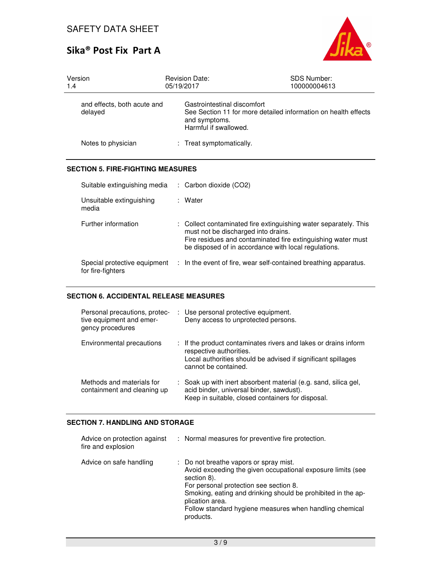

| Version<br>1.4                         | <b>Revision Date:</b><br>05/19/2017                                   | <b>SDS Number:</b><br>100000004613                             |
|----------------------------------------|-----------------------------------------------------------------------|----------------------------------------------------------------|
| and effects, both acute and<br>delayed | Gastrointestinal discomfort<br>and symptoms.<br>Harmful if swallowed. | See Section 11 for more detailed information on health effects |
| Notes to physician                     | : Treat symptomatically.                                              |                                                                |

### **SECTION 5. FIRE-FIGHTING MEASURES**

| Suitable extinguishing media                      | $\therefore$ Carbon dioxide (CO2)                                                                                                                                                                                               |
|---------------------------------------------------|---------------------------------------------------------------------------------------------------------------------------------------------------------------------------------------------------------------------------------|
| Unsuitable extinguishing<br>media                 | : Water                                                                                                                                                                                                                         |
| Further information                               | : Collect contaminated fire extinguishing water separately. This<br>must not be discharged into drains.<br>Fire residues and contaminated fire extinguishing water must<br>be disposed of in accordance with local regulations. |
| Special protective equipment<br>for fire-fighters | : In the event of fire, wear self-contained breathing apparatus.                                                                                                                                                                |

### **SECTION 6. ACCIDENTAL RELEASE MEASURES**

| Personal precautions, protec-<br>tive equipment and emer-<br>gency procedures | : Use personal protective equipment.<br>Deny access to unprotected persons.                                                                                                        |
|-------------------------------------------------------------------------------|------------------------------------------------------------------------------------------------------------------------------------------------------------------------------------|
| Environmental precautions                                                     | : If the product contaminates rivers and lakes or drains inform<br>respective authorities.<br>Local authorities should be advised if significant spillages<br>cannot be contained. |
| Methods and materials for<br>containment and cleaning up                      | : Soak up with inert absorbent material (e.g. sand, silica gel,<br>acid binder, universal binder, sawdust).<br>Keep in suitable, closed containers for disposal.                   |

### **SECTION 7. HANDLING AND STORAGE**

| Advice on protection against<br>fire and explosion | : Normal measures for preventive fire protection.                                                                                                                                                                                                                                                                         |
|----------------------------------------------------|---------------------------------------------------------------------------------------------------------------------------------------------------------------------------------------------------------------------------------------------------------------------------------------------------------------------------|
| Advice on safe handling                            | : Do not breathe vapors or spray mist.<br>Avoid exceeding the given occupational exposure limits (see<br>section 8).<br>For personal protection see section 8.<br>Smoking, eating and drinking should be prohibited in the ap-<br>plication area.<br>Follow standard hygiene measures when handling chemical<br>products. |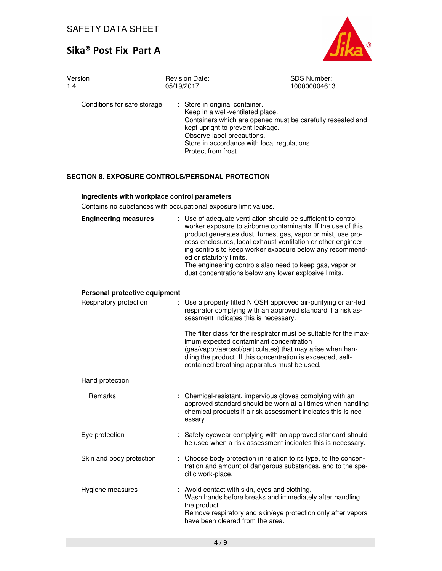# Sika® Post Fix Part A



| Version                     | <b>Revision Date:</b>                                                                                                                                                                                                                                                    | <b>SDS Number:</b> |
|-----------------------------|--------------------------------------------------------------------------------------------------------------------------------------------------------------------------------------------------------------------------------------------------------------------------|--------------------|
| 1.4                         | 05/19/2017                                                                                                                                                                                                                                                               | 100000004613       |
| Conditions for safe storage | : Store in original container.<br>Keep in a well-ventilated place.<br>Containers which are opened must be carefully resealed and<br>kept upright to prevent leakage.<br>Observe label precautions.<br>Store in accordance with local regulations.<br>Protect from frost. |                    |

# **SECTION 8. EXPOSURE CONTROLS/PERSONAL PROTECTION**

### **Ingredients with workplace control parameters**

Contains no substances with occupational exposure limit values.

| <b>Engineering measures</b>   | : Use of adequate ventilation should be sufficient to control<br>worker exposure to airborne contaminants. If the use of this<br>product generates dust, fumes, gas, vapor or mist, use pro-<br>cess enclosures, local exhaust ventilation or other engineer-<br>ing controls to keep worker exposure below any recommend-<br>ed or statutory limits.<br>The engineering controls also need to keep gas, vapor or<br>dust concentrations below any lower explosive limits. |  |
|-------------------------------|----------------------------------------------------------------------------------------------------------------------------------------------------------------------------------------------------------------------------------------------------------------------------------------------------------------------------------------------------------------------------------------------------------------------------------------------------------------------------|--|
| Personal protective equipment |                                                                                                                                                                                                                                                                                                                                                                                                                                                                            |  |
| Respiratory protection        | Use a properly fitted NIOSH approved air-purifying or air-fed<br>respirator complying with an approved standard if a risk as-<br>sessment indicates this is necessary.                                                                                                                                                                                                                                                                                                     |  |
|                               | The filter class for the respirator must be suitable for the max-<br>imum expected contaminant concentration<br>(gas/vapor/aerosol/particulates) that may arise when han-<br>dling the product. If this concentration is exceeded, self-<br>contained breathing apparatus must be used.                                                                                                                                                                                    |  |
| Hand protection               |                                                                                                                                                                                                                                                                                                                                                                                                                                                                            |  |
| Remarks                       | : Chemical-resistant, impervious gloves complying with an<br>approved standard should be worn at all times when handling<br>chemical products if a risk assessment indicates this is nec-<br>essary.                                                                                                                                                                                                                                                                       |  |
| Eye protection                | : Safety eyewear complying with an approved standard should<br>be used when a risk assessment indicates this is necessary.                                                                                                                                                                                                                                                                                                                                                 |  |
| Skin and body protection      | : Choose body protection in relation to its type, to the concen-<br>tration and amount of dangerous substances, and to the spe-<br>cific work-place.                                                                                                                                                                                                                                                                                                                       |  |
| Hygiene measures              | Avoid contact with skin, eyes and clothing.<br>Wash hands before breaks and immediately after handling                                                                                                                                                                                                                                                                                                                                                                     |  |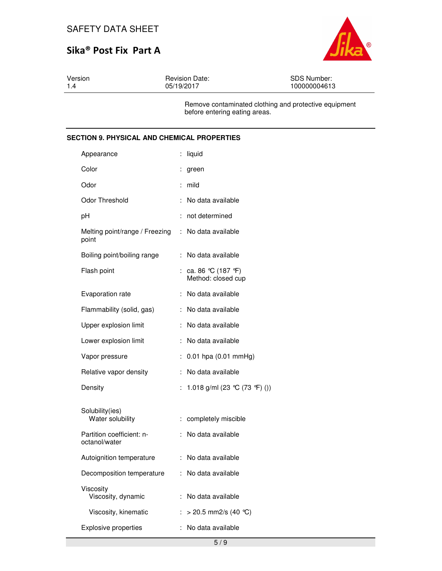

| Version | <b>Revision Date:</b> | SDS Number:                                           |
|---------|-----------------------|-------------------------------------------------------|
| 1.4     | 05/19/2017            | 100000004613                                          |
|         |                       | Ramove contaminated elething and protective equipment |

Remove contaminated clothing and protective equipment before entering eating areas.

### **SECTION 9. PHYSICAL AND CHEMICAL PROPERTIES**

| Appearance                                                  | liquid                                    |
|-------------------------------------------------------------|-------------------------------------------|
| Color                                                       | ÷<br>green                                |
| Odor                                                        | mild                                      |
| Odor Threshold                                              | No data available<br>÷                    |
| pH                                                          | not determined<br>÷                       |
| Melting point/range / Freezing : No data available<br>point |                                           |
| Boiling point/boiling range                                 | No data available<br>÷                    |
| Flash point                                                 | : ca. 86 ℃ (187 °F)<br>Method: closed cup |
| Evaporation rate                                            | No data available<br>÷.                   |
| Flammability (solid, gas)                                   | No data available<br>÷                    |
| Upper explosion limit                                       | No data available<br>÷.                   |
| Lower explosion limit                                       | No data available                         |
| Vapor pressure                                              | $0.01$ hpa $(0.01$ mmHg)<br>÷             |
| Relative vapor density                                      | No data available<br>÷                    |
| Density                                                     | : 1.018 g/ml (23 ℃ (73 °F) ())            |
| Solubility(ies)                                             |                                           |
| Water solubility                                            | completely miscible<br>t.                 |
| Partition coefficient: n-<br>octanol/water                  | No data available<br>÷.                   |
| Autoignition temperature                                    | : No data available                       |
| Decomposition temperature                                   | : No data available                       |
| Viscosity<br>Viscosity, dynamic                             | No data available                         |
| Viscosity, kinematic                                        | $>$ 20.5 mm2/s (40 °C)<br>÷               |
| <b>Explosive properties</b>                                 | No data available                         |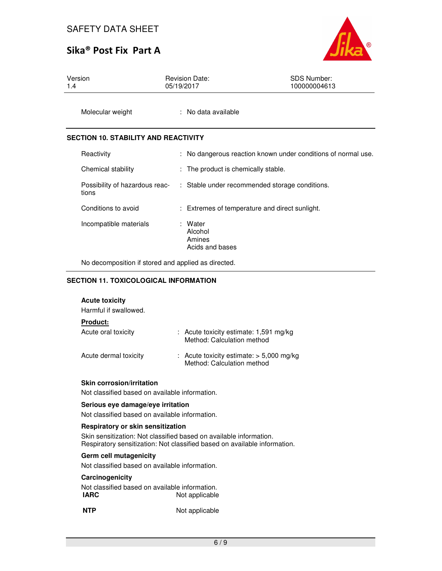# Sika® Post Fix Part A



| Version | <b>Revision Date:</b> | <b>SDS Number:</b> |
|---------|-----------------------|--------------------|
| 1.4     | 05/19/2017            | 100000004613       |
|         |                       |                    |

Molecular weight : No data available

### **SECTION 10. STABILITY AND REACTIVITY**

| Reactivity                              | : No dangerous reaction known under conditions of normal use. |
|-----------------------------------------|---------------------------------------------------------------|
| Chemical stability                      | : The product is chemically stable.                           |
| Possibility of hazardous reac-<br>tions | : Stable under recommended storage conditions.                |
| Conditions to avoid                     | : Extremes of temperature and direct sunlight.                |
| Incompatible materials                  | : Water<br>Alcohol<br>Amines<br>Acids and bases               |

No decomposition if stored and applied as directed.

#### **SECTION 11. TOXICOLOGICAL INFORMATION**

#### **Acute toxicity**

Harmful if swallowed.

### **Product:**

| Acute oral toxicity   | $\therefore$ Acute toxicity estimate: 1,591 mg/kg<br>Method: Calculation method |
|-----------------------|---------------------------------------------------------------------------------|
| Acute dermal toxicity | : Acute toxicity estimate: $> 5,000$ mg/kg<br>Method: Calculation method        |

#### **Skin corrosion/irritation**

Not classified based on available information.

#### **Serious eye damage/eye irritation**

Not classified based on available information.

#### **Respiratory or skin sensitization**

Skin sensitization: Not classified based on available information. Respiratory sensitization: Not classified based on available information.

#### **Germ cell mutagenicity**

Not classified based on available information.

#### **Carcinogenicity**

Not classified based on available information.<br>**IARC** Not applicable **Not applicable** 

**NTP** Not applicable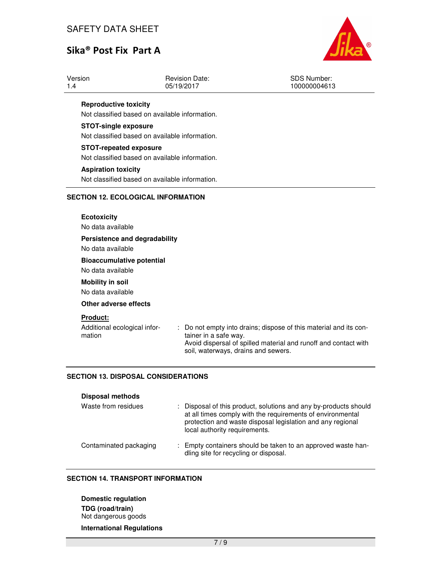# Sika® Post Fix Part A



| Version | <b>Revision Date:</b> | SDS Number:  |
|---------|-----------------------|--------------|
| 1.4     | 05/19/2017            | 100000004613 |
|         |                       |              |

### **Reproductive toxicity**

Not classified based on available information.

### **STOT-single exposure**

Not classified based on available information.

### **STOT-repeated exposure**

Not classified based on available information.

#### **Aspiration toxicity**

Not classified based on available information.

### **SECTION 12. ECOLOGICAL INFORMATION**

| <b>Ecotoxicity</b><br>No data available               |                                                                                                                                                                                                      |
|-------------------------------------------------------|------------------------------------------------------------------------------------------------------------------------------------------------------------------------------------------------------|
| Persistence and degradability<br>No data available    |                                                                                                                                                                                                      |
| <b>Bioaccumulative potential</b><br>No data available |                                                                                                                                                                                                      |
| <b>Mobility in soil</b><br>No data available          |                                                                                                                                                                                                      |
| Other adverse effects<br><b>Product:</b>              |                                                                                                                                                                                                      |
| Additional ecological infor-<br>mation                | : Do not empty into drains; dispose of this material and its con-<br>tainer in a safe way.<br>Avoid dispersal of spilled material and runoff and contact with<br>soil, waterways, drains and sewers. |

#### **SECTION 13. DISPOSAL CONSIDERATIONS**

| <b>Disposal methods</b> |                                                                                                                                                                                                                               |
|-------------------------|-------------------------------------------------------------------------------------------------------------------------------------------------------------------------------------------------------------------------------|
| Waste from residues     | : Disposal of this product, solutions and any by-products should<br>at all times comply with the requirements of environmental<br>protection and waste disposal legislation and any regional<br>local authority requirements. |
| Contaminated packaging  | : Empty containers should be taken to an approved waste han-<br>dling site for recycling or disposal.                                                                                                                         |

#### **SECTION 14. TRANSPORT INFORMATION**

**Domestic regulation TDG (road/train)** Not dangerous goods

# **International Regulations**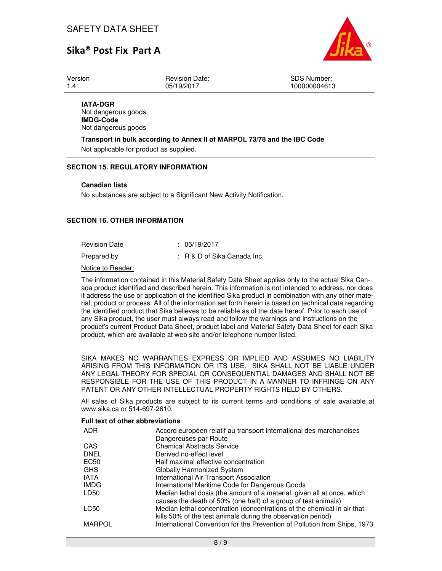

Version 1.4

Revision Date: 05/19/2017

SDS Number: 100000004613

**IATA-DGR** Not dangerous goods **IMDG-Code** Not dangerous goods

**Transport in bulk according to Annex II of MARPOL 73/78 and the IBC Code**  Not applicable for product as supplied.

#### **SECTION 15. REGULATORY INFORMATION**

#### **Canadian lists**

No substances are subject to a Significant New Activity Notification.

#### **SECTION 16. OTHER INFORMATION**

| Revision Date | : 05/19/2017 |  |
|---------------|--------------|--|
|               |              |  |

Prepared by : R & D of Sika Canada Inc.

Notice to Reader:

The information contained in this Material Safety Data Sheet applies only to the actual Sika Canada product identified and described herein. This information is not intended to address, nor does it address the use or application of the identified Sika product in combination with any other material, product or process. All of the information set forth herein is based on technical data regarding the identified product that Sika believes to be reliable as of the date hereof. Prior to each use of any Sika product, the user must always read and follow the warnings and instructions on the product's current Product Data Sheet, product label and Material Safety Data Sheet for each Sika product, which are available at web site and/or telephone number listed.

SIKA MAKES NO WARRANTIES EXPRESS OR IMPLIED AND ASSUMES NO LIABILITY ARISING FROM THIS INFORMATION OR ITS USE. SIKA SHALL NOT BE LIABLE UNDER ANY LEGAL THEORY FOR SPECIAL OR CONSEQUENTIAL DAMAGES AND SHALL NOT BE RESPONSIBLE FOR THE USE OF THIS PRODUCT IN A MANNER TO INFRINGE ON ANY PATENT OR ANY OTHER INTELLECTUAL PROPERTY RIGHTS HELD BY OTHERS.

All sales of Sika products are subject to its current terms and conditions of sale available at www.sika.ca or 514-697-2610.

#### **Full text of other abbreviations**

| ADR           | Accord européen relatif au transport international des marchandises                                                                       |
|---------------|-------------------------------------------------------------------------------------------------------------------------------------------|
|               | Dangereuses par Route                                                                                                                     |
| CAS           | <b>Chemical Abstracts Service</b>                                                                                                         |
| <b>DNEL</b>   | Derived no-effect level                                                                                                                   |
| EC50          | Half maximal effective concentration                                                                                                      |
| <b>GHS</b>    | Globally Harmonized System                                                                                                                |
| <b>IATA</b>   | International Air Transport Association                                                                                                   |
| <b>IMDG</b>   | International Maritime Code for Dangerous Goods                                                                                           |
| LD50          | Median lethal dosis (the amount of a material, given all at once, which<br>causes the death of 50% (one half) of a group of test animals) |
| LC50          | Median lethal concentration (concentrations of the chemical in air that<br>kills 50% of the test animals during the observation period)   |
| <b>MARPOL</b> | International Convention for the Prevention of Pollution from Ships, 1973                                                                 |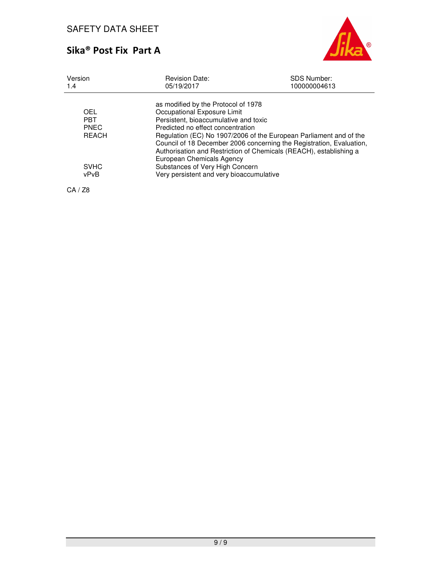

| Version<br>1.4                                                          | <b>Revision Date:</b><br>05/19/2017                                                                                                                                                                                                                          | <b>SDS Number:</b><br>100000004613                                                                                                                                                                               |
|-------------------------------------------------------------------------|--------------------------------------------------------------------------------------------------------------------------------------------------------------------------------------------------------------------------------------------------------------|------------------------------------------------------------------------------------------------------------------------------------------------------------------------------------------------------------------|
| OEL<br><b>PRT</b><br><b>PNEC</b><br><b>REACH</b><br><b>SVHC</b><br>vPvB | as modified by the Protocol of 1978<br>Occupational Exposure Limit<br>Persistent, bioaccumulative and toxic<br>Predicted no effect concentration<br>European Chemicals Agency<br>Substances of Very High Concern<br>Very persistent and very bioaccumulative | Regulation (EC) No 1907/2006 of the European Parliament and of the<br>Council of 18 December 2006 concerning the Registration, Evaluation,<br>Authorisation and Restriction of Chemicals (REACH), establishing a |
|                                                                         |                                                                                                                                                                                                                                                              |                                                                                                                                                                                                                  |

CA / Z8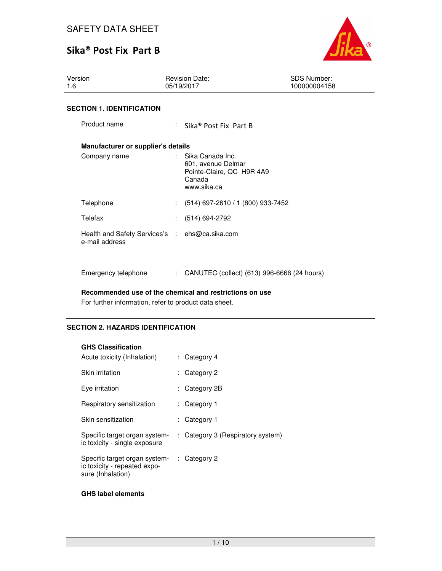

| Version<br>1.6                                                   | <b>Revision Date:</b><br>05/19/2017 |                                                                                                | <b>SDS Number:</b><br>100000004158 |  |
|------------------------------------------------------------------|-------------------------------------|------------------------------------------------------------------------------------------------|------------------------------------|--|
| <b>SECTION 1. IDENTIFICATION</b>                                 |                                     |                                                                                                |                                    |  |
| Product name                                                     |                                     | : Sika® Post Fix Part B                                                                        |                                    |  |
| Manufacturer or supplier's details                               |                                     |                                                                                                |                                    |  |
| Company name                                                     |                                     | : Sika Canada Inc.<br>601, avenue Delmar<br>Pointe-Claire, QC H9R 4A9<br>Canada<br>www.sika.ca |                                    |  |
| Telephone                                                        |                                     | $(514)$ 697-2610 / 1 (800) 933-7452                                                            |                                    |  |
| Telefax                                                          |                                     | $(514) 694-2792$                                                                               |                                    |  |
| Health and Safety Services's : ehs@ca.sika.com<br>e-mail address |                                     |                                                                                                |                                    |  |
| Emergency telephone                                              |                                     | : CANUTEC (collect) (613) 996-6666 (24 hours)                                                  |                                    |  |

**Recommended use of the chemical and restrictions on use** 

For further information, refer to product data sheet.

# **SECTION 2. HAZARDS IDENTIFICATION**

### **GHS Classification**

| Acute toxicity (Inhalation)                                                        |    | : Category 4                      |
|------------------------------------------------------------------------------------|----|-----------------------------------|
| Skin irritation                                                                    |    | : Category 2                      |
| Eye irritation                                                                     |    | : Category 2B                     |
| Respiratory sensitization                                                          |    | : Category 1                      |
| Skin sensitization                                                                 | t. | Category 1                        |
| Specific target organ system-<br>ic toxicity - single exposure                     |    | : Category 3 (Respiratory system) |
| Specific target organ system-<br>ic toxicity - repeated expo-<br>sure (Inhalation) |    | $\therefore$ Category 2           |

#### **GHS label elements**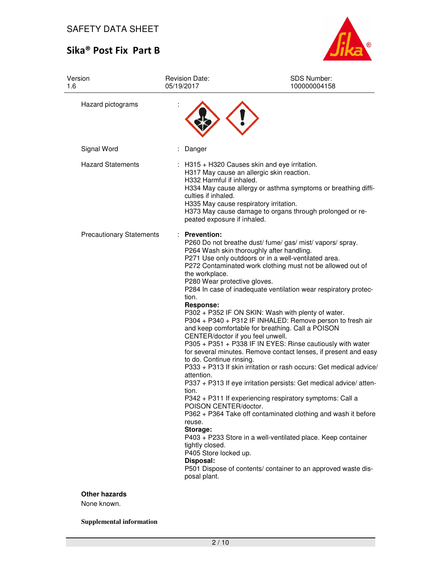

| Version<br>1.6                  | <b>Revision Date:</b><br>05/19/2017                                                                                                                                                                                                                                                                   | SDS Number:<br>100000004158                                                                                                                                                                                                                                                                                                                                                                                                                                                                                                                                                                                                                                                                                                                                                                                                                                                                                                                                                                                        |
|---------------------------------|-------------------------------------------------------------------------------------------------------------------------------------------------------------------------------------------------------------------------------------------------------------------------------------------------------|--------------------------------------------------------------------------------------------------------------------------------------------------------------------------------------------------------------------------------------------------------------------------------------------------------------------------------------------------------------------------------------------------------------------------------------------------------------------------------------------------------------------------------------------------------------------------------------------------------------------------------------------------------------------------------------------------------------------------------------------------------------------------------------------------------------------------------------------------------------------------------------------------------------------------------------------------------------------------------------------------------------------|
| Hazard pictograms               |                                                                                                                                                                                                                                                                                                       |                                                                                                                                                                                                                                                                                                                                                                                                                                                                                                                                                                                                                                                                                                                                                                                                                                                                                                                                                                                                                    |
| Signal Word                     | Danger                                                                                                                                                                                                                                                                                                |                                                                                                                                                                                                                                                                                                                                                                                                                                                                                                                                                                                                                                                                                                                                                                                                                                                                                                                                                                                                                    |
| <b>Hazard Statements</b>        | H332 Harmful if inhaled.<br>culties if inhaled.<br>H335 May cause respiratory irritation.<br>peated exposure if inhaled.                                                                                                                                                                              | : H315 + H320 Causes skin and eye irritation.<br>H317 May cause an allergic skin reaction.<br>H334 May cause allergy or asthma symptoms or breathing diffi-<br>H373 May cause damage to organs through prolonged or re-                                                                                                                                                                                                                                                                                                                                                                                                                                                                                                                                                                                                                                                                                                                                                                                            |
| <b>Precautionary Statements</b> | : Prevention:<br>the workplace.<br>P280 Wear protective gloves.<br>tion.<br>Response:<br>CENTER/doctor if you feel unwell.<br>to do. Continue rinsing.<br>attention.<br>tion.<br>POISON CENTER/doctor.<br>reuse.<br>Storage:<br>tightly closed.<br>P405 Store locked up.<br>Disposal:<br>posal plant. | P260 Do not breathe dust/ fume/ gas/ mist/ vapors/ spray.<br>P264 Wash skin thoroughly after handling.<br>P271 Use only outdoors or in a well-ventilated area.<br>P272 Contaminated work clothing must not be allowed out of<br>P284 In case of inadequate ventilation wear respiratory protec-<br>P302 + P352 IF ON SKIN: Wash with plenty of water.<br>P304 + P340 + P312 IF INHALED: Remove person to fresh air<br>and keep comfortable for breathing. Call a POISON<br>P305 + P351 + P338 IF IN EYES: Rinse cautiously with water<br>for several minutes. Remove contact lenses, if present and easy<br>P333 + P313 If skin irritation or rash occurs: Get medical advice/<br>P337 + P313 If eye irritation persists: Get medical advice/ atten-<br>P342 + P311 If experiencing respiratory symptoms: Call a<br>P362 + P364 Take off contaminated clothing and wash it before<br>P403 + P233 Store in a well-ventilated place. Keep container<br>P501 Dispose of contents/ container to an approved waste dis- |

## **Other hazards**

None known.

**Supplemental information**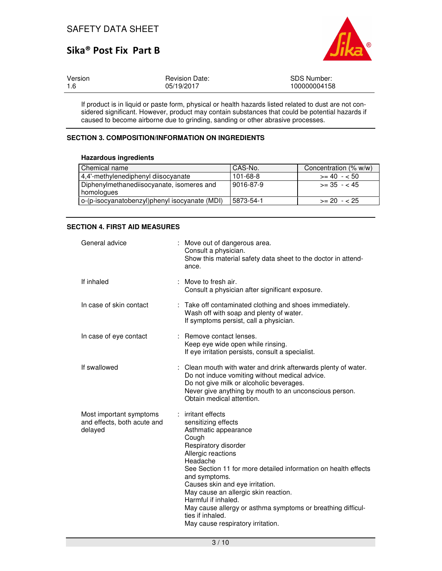

| Version | <b>Revision Date:</b> | SDS Number:  |
|---------|-----------------------|--------------|
| 1.6     | 05/19/2017            | 100000004158 |

If product is in liquid or paste form, physical or health hazards listed related to dust are not considered significant. However, product may contain substances that could be potential hazards if caused to become airborne due to grinding, sanding or other abrasive processes.

### **SECTION 3. COMPOSITION/INFORMATION ON INGREDIENTS**

#### **Hazardous ingredients**

| Chemical name                                           | CAS-No.        | Concentration (% w/w) |
|---------------------------------------------------------|----------------|-----------------------|
| 4,4'-methylenediphenyl diisocyanate                     | $101 - 68 - 8$ | $>= 40 - 50$          |
| Diphenylmethanediisocyanate, isomeres and<br>homologues | 9016-87-9      | $\ge$ 35 - < 45       |
| o-(p-isocyanatobenzyl)phenyl isocyanate (MDI)           | 5873-54-1      | $>= 20 - 25$          |

### **SECTION 4. FIRST AID MEASURES**

| General advice                                                    |   | : Move out of dangerous area.<br>Consult a physician.<br>Show this material safety data sheet to the doctor in attend-<br>ance.                                                                                                                                                                                                                                                                                                                   |
|-------------------------------------------------------------------|---|---------------------------------------------------------------------------------------------------------------------------------------------------------------------------------------------------------------------------------------------------------------------------------------------------------------------------------------------------------------------------------------------------------------------------------------------------|
| If inhaled                                                        | ÷ | Move to fresh air.<br>Consult a physician after significant exposure.                                                                                                                                                                                                                                                                                                                                                                             |
| In case of skin contact                                           | ÷ | Take off contaminated clothing and shoes immediately.<br>Wash off with soap and plenty of water.<br>If symptoms persist, call a physician.                                                                                                                                                                                                                                                                                                        |
| In case of eye contact                                            | ÷ | Remove contact lenses.<br>Keep eye wide open while rinsing.<br>If eye irritation persists, consult a specialist.                                                                                                                                                                                                                                                                                                                                  |
| If swallowed                                                      |   | : Clean mouth with water and drink afterwards plenty of water.<br>Do not induce vomiting without medical advice.<br>Do not give milk or alcoholic beverages.<br>Never give anything by mouth to an unconscious person.<br>Obtain medical attention.                                                                                                                                                                                               |
| Most important symptoms<br>and effects, both acute and<br>delayed |   | : irritant effects<br>sensitizing effects<br>Asthmatic appearance<br>Cough<br>Respiratory disorder<br>Allergic reactions<br>Headache<br>See Section 11 for more detailed information on health effects<br>and symptoms.<br>Causes skin and eye irritation.<br>May cause an allergic skin reaction.<br>Harmful if inhaled.<br>May cause allergy or asthma symptoms or breathing difficul-<br>ties if inhaled.<br>May cause respiratory irritation. |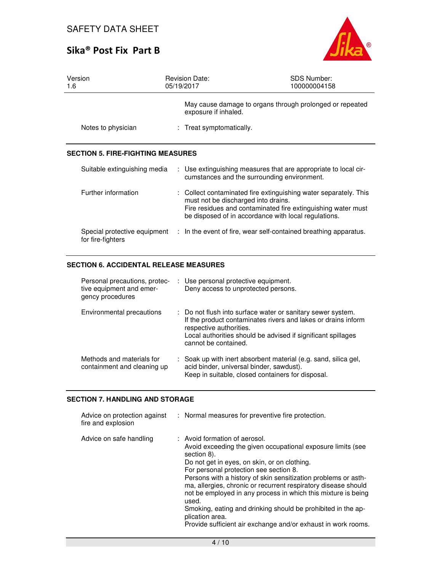

| Version<br>1.6                                    | <b>Revision Date:</b><br>05/19/2017 | <b>SDS Number:</b><br>100000004158                                                                                                                                                       |
|---------------------------------------------------|-------------------------------------|------------------------------------------------------------------------------------------------------------------------------------------------------------------------------------------|
|                                                   | exposure if inhaled.                | May cause damage to organs through prolonged or repeated                                                                                                                                 |
| Notes to physician                                | : Treat symptomatically.            |                                                                                                                                                                                          |
| <b>SECTION 5. FIRE-FIGHTING MEASURES</b>          |                                     |                                                                                                                                                                                          |
| Suitable extinguishing media                      |                                     | : Use extinguishing measures that are appropriate to local cir-<br>cumstances and the surrounding environment.                                                                           |
| Further information                               | must not be discharged into drains. | : Collect contaminated fire extinguishing water separately. This<br>Fire residues and contaminated fire extinguishing water must<br>be disposed of in accordance with local regulations. |
| Special protective equipment<br>for fire-fighters |                                     | : In the event of fire, wear self-contained breathing apparatus.                                                                                                                         |

### **SECTION 6. ACCIDENTAL RELEASE MEASURES**

| Personal precautions, protec-<br>tive equipment and emer-<br>gency procedures | : Use personal protective equipment.<br>Deny access to unprotected persons.                                                                                                                                                                     |
|-------------------------------------------------------------------------------|-------------------------------------------------------------------------------------------------------------------------------------------------------------------------------------------------------------------------------------------------|
| Environmental precautions                                                     | : Do not flush into surface water or sanitary sewer system.<br>If the product contaminates rivers and lakes or drains inform<br>respective authorities.<br>Local authorities should be advised if significant spillages<br>cannot be contained. |
| Methods and materials for<br>containment and cleaning up                      | : Soak up with inert absorbent material (e.g. sand, silica gel,<br>acid binder, universal binder, sawdust).<br>Keep in suitable, closed containers for disposal.                                                                                |

### **SECTION 7. HANDLING AND STORAGE**

| Advice on protection against<br>fire and explosion | : Normal measures for preventive fire protection.                                                                                                                                                                                                                                                                                                                                                                                                                                                                                                                       |
|----------------------------------------------------|-------------------------------------------------------------------------------------------------------------------------------------------------------------------------------------------------------------------------------------------------------------------------------------------------------------------------------------------------------------------------------------------------------------------------------------------------------------------------------------------------------------------------------------------------------------------------|
| Advice on safe handling                            | : Avoid formation of aerosol.<br>Avoid exceeding the given occupational exposure limits (see<br>section 8).<br>Do not get in eyes, on skin, or on clothing.<br>For personal protection see section 8.<br>Persons with a history of skin sensitization problems or asth-<br>ma, allergies, chronic or recurrent respiratory disease should<br>not be employed in any process in which this mixture is being<br>used.<br>Smoking, eating and drinking should be prohibited in the ap-<br>plication area.<br>Provide sufficient air exchange and/or exhaust in work rooms. |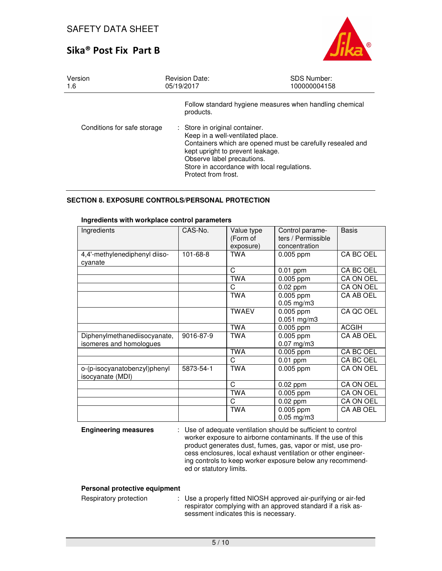

| Version<br>1.6              | <b>Revision Date:</b><br>05/19/2017                                                                                                                                                                        | <b>SDS Number:</b><br>100000004158                         |
|-----------------------------|------------------------------------------------------------------------------------------------------------------------------------------------------------------------------------------------------------|------------------------------------------------------------|
|                             | products.                                                                                                                                                                                                  | Follow standard hygiene measures when handling chemical    |
| Conditions for safe storage | : Store in original container.<br>Keep in a well-ventilated place.<br>kept upright to prevent leakage.<br>Observe label precautions.<br>Store in accordance with local regulations.<br>Protect from frost. | Containers which are opened must be carefully resealed and |

### **SECTION 8. EXPOSURE CONTROLS/PERSONAL PROTECTION**

| Ingredients                                             | CAS-No.   | Value type<br>(Form of<br>exposure) | Control parame-<br>ters / Permissible<br>concentration | <b>Basis</b> |
|---------------------------------------------------------|-----------|-------------------------------------|--------------------------------------------------------|--------------|
| 4,4'-methylenediphenyl diiso-<br>cyanate                | 101-68-8  | <b>TWA</b>                          | 0.005 ppm                                              | CA BC OEL    |
|                                                         |           | C                                   | $0.01$ ppm                                             | CA BC OEL    |
|                                                         |           | <b>TWA</b>                          | $0.005$ ppm                                            | CA ON OEL    |
|                                                         |           | C                                   | $0.02$ ppm                                             | CA ON OEL    |
|                                                         |           | <b>TWA</b>                          | $0.005$ ppm<br>$0.05$ mg/m3                            | CA AB OEL    |
|                                                         |           | <b>TWAEV</b>                        | $0.005$ ppm<br>$0.051$ mg/m3                           | CA QC OEL    |
|                                                         |           | <b>TWA</b>                          | $0.005$ ppm                                            | <b>ACGIH</b> |
| Diphenylmethanediisocyanate,<br>isomeres and homologues | 9016-87-9 | <b>TWA</b>                          | 0.005 ppm<br>$0.07$ mg/m3                              | CA AB OEL    |
|                                                         |           | <b>TWA</b>                          | $0.005$ ppm                                            | CA BC OEL    |
|                                                         |           | C                                   | $0.01$ ppm                                             | CA BC OEL    |
| o-(p-isocyanatobenzyl)phenyl<br>isocyanate (MDI)        | 5873-54-1 | <b>TWA</b>                          | $0.005$ ppm                                            | CA ON OEL    |
|                                                         |           | C                                   | $0.02$ ppm                                             | CA ON OEL    |
|                                                         |           | <b>TWA</b>                          | $0.005$ ppm                                            | CA ON OEL    |
|                                                         |           | C                                   | $0.02$ ppm                                             | CA ON OEL    |
|                                                         |           | <b>TWA</b>                          | 0.005 ppm<br>$0.05$ mg/m3                              | CA AB OEL    |

#### **Ingredients with workplace control parameters**

**Engineering measures** : Use of adequate ventilation should be sufficient to control worker exposure to airborne contaminants. If the use of this product generates dust, fumes, gas, vapor or mist, use process enclosures, local exhaust ventilation or other engineering controls to keep worker exposure below any recommended or statutory limits.

### **Personal protective equipment**

| Respiratory protection | : Use a properly fitted NIOSH approved air-purifying or air-fed |
|------------------------|-----------------------------------------------------------------|
|                        | respirator complying with an approved standard if a risk as-    |
|                        | sessment indicates this is necessary.                           |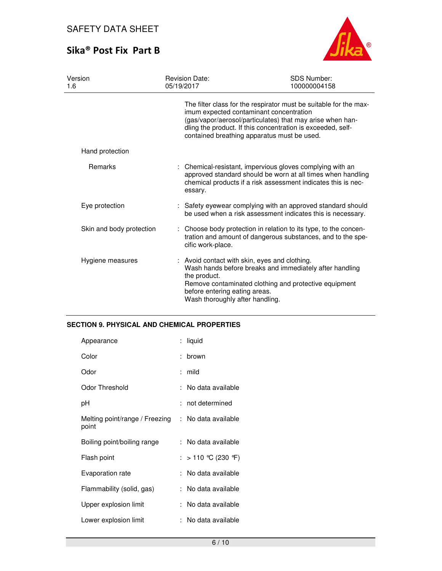

| Version<br>1.6           | <b>Revision Date:</b><br>05/19/2017                                              | <b>SDS Number:</b><br>100000004158                                                                                                                                                                                                                                                      |
|--------------------------|----------------------------------------------------------------------------------|-----------------------------------------------------------------------------------------------------------------------------------------------------------------------------------------------------------------------------------------------------------------------------------------|
|                          |                                                                                  | The filter class for the respirator must be suitable for the max-<br>imum expected contaminant concentration<br>(gas/vapor/aerosol/particulates) that may arise when han-<br>dling the product. If this concentration is exceeded, self-<br>contained breathing apparatus must be used. |
| Hand protection          |                                                                                  |                                                                                                                                                                                                                                                                                         |
| Remarks                  | essary.                                                                          | : Chemical-resistant, impervious gloves complying with an<br>approved standard should be worn at all times when handling<br>chemical products if a risk assessment indicates this is nec-                                                                                               |
| Eye protection           |                                                                                  | : Safety eyewear complying with an approved standard should<br>be used when a risk assessment indicates this is necessary.                                                                                                                                                              |
| Skin and body protection | cific work-place.                                                                | : Choose body protection in relation to its type, to the concen-<br>tration and amount of dangerous substances, and to the spe-                                                                                                                                                         |
| Hygiene measures         | the product.<br>before entering eating areas.<br>Wash thoroughly after handling. | : Avoid contact with skin, eyes and clothing.<br>Wash hands before breaks and immediately after handling<br>Remove contaminated clothing and protective equipment                                                                                                                       |

## **SECTION 9. PHYSICAL AND CHEMICAL PROPERTIES**

| Appearance                              | : liquid            |
|-----------------------------------------|---------------------|
| Color                                   | brown               |
| Odor                                    | mild                |
| Odor Threshold                          | No data available   |
| рH                                      | not determined      |
| Melting point/range / Freezing<br>point | : No data available |
| Boiling point/boiling range             | No data available   |
| Flash point                             | : > 110 ℃ (230 °F)  |
| Evaporation rate                        | No data available   |
| Flammability (solid, gas)               | No data available   |
| Upper explosion limit                   | No data available   |
| Lower explosion limit                   | No data available   |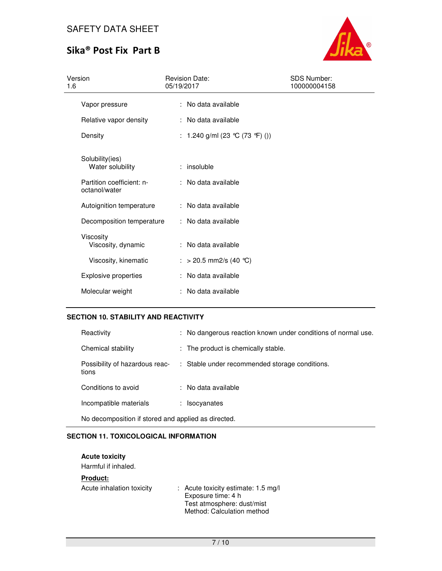# Sika® Post Fix Part B



| Version<br>1.6                             | <b>Revision Date:</b><br>05/19/2017 | <b>SDS Number:</b><br>100000004158 |
|--------------------------------------------|-------------------------------------|------------------------------------|
| Vapor pressure                             | : No data available                 |                                    |
| Relative vapor density                     | : No data available                 |                                    |
| Density                                    | : 1.240 g/ml (23 ℃ (73 °F) ())      |                                    |
| Solubility(ies)<br>Water solubility        | $:$ insoluble                       |                                    |
| Partition coefficient: n-<br>octanol/water | : No data available                 |                                    |
| Autoignition temperature                   | : No data available                 |                                    |
| Decomposition temperature                  | : No data available                 |                                    |
| Viscosity<br>Viscosity, dynamic            | : No data available                 |                                    |
| Viscosity, kinematic                       | : > 20.5 mm2/s (40 °C)              |                                    |
| <b>Explosive properties</b>                | : No data available                 |                                    |
| Molecular weight                           | : No data available                 |                                    |

### **SECTION 10. STABILITY AND REACTIVITY**

| Reactivity                                          |  | : No dangerous reaction known under conditions of normal use. |
|-----------------------------------------------------|--|---------------------------------------------------------------|
| Chemical stability                                  |  | : The product is chemically stable.                           |
| Possibility of hazardous reac-<br>tions             |  | : Stable under recommended storage conditions.                |
| Conditions to avoid                                 |  | : No data available                                           |
| Incompatible materials                              |  | : Isocyanates                                                 |
| No decomposition if stored and applied as directed. |  |                                                               |

### **SECTION 11. TOXICOLOGICAL INFORMATION**

| <b>Acute toxicity</b><br>Harmful if inhaled. |                                                                                                                                 |
|----------------------------------------------|---------------------------------------------------------------------------------------------------------------------------------|
| <b>Product:</b>                              |                                                                                                                                 |
| Acute inhalation toxicity                    | : Acute toxicity estimate: $1.5 \text{ mg/l}$<br>Exposure time: 4 h<br>Test atmosphere: dust/mist<br>Method: Calculation method |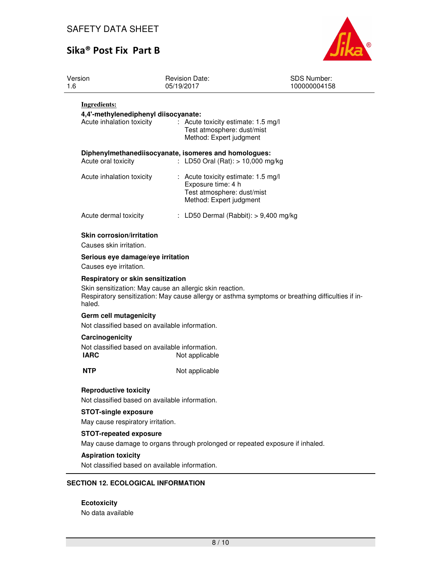

| Version<br>1.6                                                | <b>Revision Date:</b><br>05/19/2017                                                                                | <b>SDS Number:</b><br>100000004158                                                               |
|---------------------------------------------------------------|--------------------------------------------------------------------------------------------------------------------|--------------------------------------------------------------------------------------------------|
| <b>Ingredients:</b>                                           |                                                                                                                    |                                                                                                  |
| 4,4'-methylenediphenyl diisocyanate:                          |                                                                                                                    |                                                                                                  |
| Acute inhalation toxicity                                     | Acute toxicity estimate: 1.5 mg/l<br>Test atmosphere: dust/mist<br>Method: Expert judgment                         |                                                                                                  |
| Acute oral toxicity                                           | Diphenylmethanediisocyanate, isomeres and homologues:<br>: LD50 Oral (Rat): $> 10,000$ mg/kg                       |                                                                                                  |
| Acute inhalation toxicity                                     | : Acute toxicity estimate: 1.5 mg/l<br>Exposure time: 4 h<br>Test atmosphere: dust/mist<br>Method: Expert judgment |                                                                                                  |
| Acute dermal toxicity                                         | : LD50 Dermal (Rabbit): $> 9,400$ mg/kg                                                                            |                                                                                                  |
| <b>Skin corrosion/irritation</b><br>Causes skin irritation.   |                                                                                                                    |                                                                                                  |
| Serious eye damage/eye irritation<br>Causes eye irritation.   |                                                                                                                    |                                                                                                  |
| Respiratory or skin sensitization                             |                                                                                                                    |                                                                                                  |
| haled.                                                        | Skin sensitization: May cause an allergic skin reaction.                                                           | Respiratory sensitization: May cause allergy or asthma symptoms or breathing difficulties if in- |
| Germ cell mutagenicity                                        |                                                                                                                    |                                                                                                  |
| Not classified based on available information.                |                                                                                                                    |                                                                                                  |
| Carcinogenicity                                               |                                                                                                                    |                                                                                                  |
| Not classified based on available information.<br><b>IARC</b> | Not applicable                                                                                                     |                                                                                                  |
| <b>NTP</b>                                                    | Not applicable                                                                                                     |                                                                                                  |
| <b>Reproductive toxicity</b>                                  |                                                                                                                    |                                                                                                  |
| Not classified based on available information.                |                                                                                                                    |                                                                                                  |
| <b>STOT-single exposure</b>                                   |                                                                                                                    |                                                                                                  |
| May cause respiratory irritation.                             |                                                                                                                    |                                                                                                  |
| <b>STOT-repeated exposure</b>                                 |                                                                                                                    |                                                                                                  |
|                                                               | May cause damage to organs through prolonged or repeated exposure if inhaled.                                      |                                                                                                  |
| <b>Aspiration toxicity</b>                                    |                                                                                                                    |                                                                                                  |
| Not classified based on available information.                |                                                                                                                    |                                                                                                  |
| <b>SECTION 12. ECOLOGICAL INFORMATION</b>                     |                                                                                                                    |                                                                                                  |
| <b>Ecotoxicity</b>                                            |                                                                                                                    |                                                                                                  |

No data available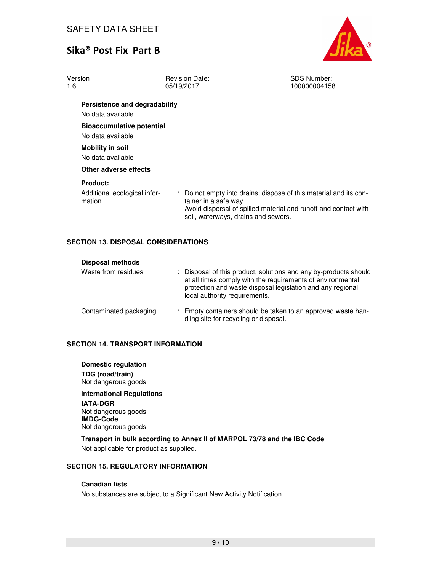

| Version<br>1.6                                            | <b>Revision Date:</b><br>05/19/2017                          | <b>SDS Number:</b><br>100000004158                                                                                                   |
|-----------------------------------------------------------|--------------------------------------------------------------|--------------------------------------------------------------------------------------------------------------------------------------|
| Persistence and degradability<br>No data available        |                                                              |                                                                                                                                      |
| <b>Bioaccumulative potential</b><br>No data available     |                                                              |                                                                                                                                      |
| <b>Mobility in soil</b><br>No data available              |                                                              |                                                                                                                                      |
| Other adverse effects                                     |                                                              |                                                                                                                                      |
| <b>Product:</b><br>Additional ecological infor-<br>mation | tainer in a safe way.<br>soil, waterways, drains and sewers. | : Do not empty into drains; dispose of this material and its con-<br>Avoid dispersal of spilled material and runoff and contact with |

### **SECTION 13. DISPOSAL CONSIDERATIONS**

| <b>Disposal methods</b> |                                                                                                                                                                                                                               |
|-------------------------|-------------------------------------------------------------------------------------------------------------------------------------------------------------------------------------------------------------------------------|
| Waste from residues     | : Disposal of this product, solutions and any by-products should<br>at all times comply with the requirements of environmental<br>protection and waste disposal legislation and any regional<br>local authority requirements. |
| Contaminated packaging  | : Empty containers should be taken to an approved waste han-<br>dling site for recycling or disposal.                                                                                                                         |

### **SECTION 14. TRANSPORT INFORMATION**

**Domestic regulation TDG (road/train)** Not dangerous goods

**International Regulations IATA-DGR** Not dangerous goods **IMDG-Code** Not dangerous goods

**Transport in bulk according to Annex II of MARPOL 73/78 and the IBC Code**  Not applicable for product as supplied.

### **SECTION 15. REGULATORY INFORMATION**

## **Canadian lists**

No substances are subject to a Significant New Activity Notification.